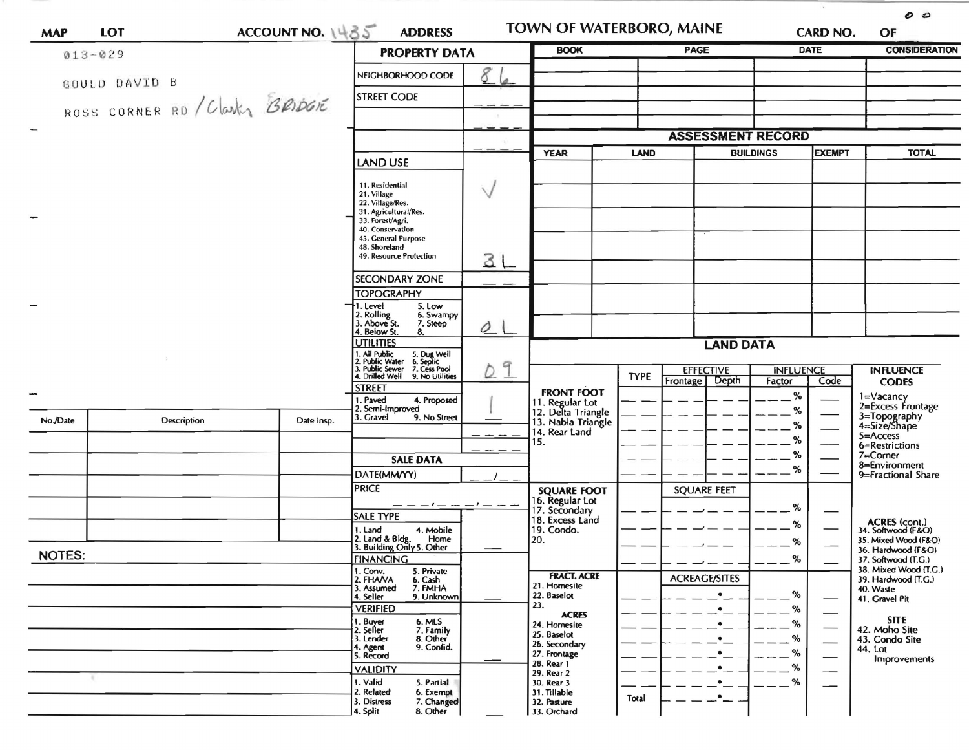| <b>MAP</b>               | LOT                            | ACCOUNT NO. $1485$                                                                                                  | <b>ADDRESS</b>                                                                                                                               |             | <b>TOWN OF WATERBORO, MAINE</b>            |                                   | CARD NO.                             |             | 00<br>OF                 |                                                   |  |
|--------------------------|--------------------------------|---------------------------------------------------------------------------------------------------------------------|----------------------------------------------------------------------------------------------------------------------------------------------|-------------|--------------------------------------------|-----------------------------------|--------------------------------------|-------------|--------------------------|---------------------------------------------------|--|
|                          | $013 - 029$                    |                                                                                                                     | <b>PROPERTY DATA</b>                                                                                                                         | <b>BOOK</b> |                                            | <b>PAGE</b>                       |                                      | <b>DATE</b> | <b>CONSIDERATION</b>     |                                                   |  |
|                          | GOULD DAVID B                  |                                                                                                                     | NEIGHBORHOOD CODE                                                                                                                            | 9           |                                            |                                   |                                      |             |                          |                                                   |  |
|                          | ROSS CORNER RD / Clarks BRIDGE |                                                                                                                     | <b>STREET CODE</b>                                                                                                                           |             |                                            |                                   |                                      |             |                          |                                                   |  |
| $\overline{\phantom{0}}$ |                                |                                                                                                                     |                                                                                                                                              |             |                                            |                                   | <b>ASSESSMENT RECORD</b>             |             |                          |                                                   |  |
|                          |                                |                                                                                                                     |                                                                                                                                              | <b>YEAR</b> | LAND                                       | <b>BUILDINGS</b><br><b>EXEMPT</b> |                                      |             | <b>TOTAL</b>             |                                                   |  |
|                          |                                |                                                                                                                     | <b>LAND USE</b>                                                                                                                              |             |                                            |                                   |                                      |             |                          |                                                   |  |
|                          |                                | 11. Residential<br>21. Village<br>22. Village/Res.<br>31. Agricultural/Res.<br>33. Forest/Agri.<br>40. Conservation | $\sqrt{}$                                                                                                                                    |             |                                            |                                   |                                      |             |                          |                                                   |  |
|                          |                                |                                                                                                                     | 45. General Purpose<br>48. Shoreland<br>49. Resource Protection                                                                              | 3L          |                                            |                                   |                                      |             |                          |                                                   |  |
|                          |                                |                                                                                                                     | <b>SECONDARY ZONE</b>                                                                                                                        |             |                                            |                                   |                                      |             |                          |                                                   |  |
|                          |                                |                                                                                                                     | <b>TOPOGRAPHY</b>                                                                                                                            |             |                                            |                                   |                                      |             |                          |                                                   |  |
|                          |                                |                                                                                                                     | →1. Level<br>5. Low<br>2. Rolling<br>6. Swampy<br>3. Above St.<br>7. Steep<br>4. Below St.<br>8.                                             | Ò           |                                            |                                   |                                      |             |                          |                                                   |  |
|                          |                                |                                                                                                                     | <b>UTILITIES</b>                                                                                                                             |             |                                            |                                   |                                      |             |                          |                                                   |  |
|                          |                                |                                                                                                                     | 1. All Public 5. Dug Well<br>2. Public Water 6. Septic<br>3. Public Sewer 7. Cess Pool<br>4. Drilled Well 9. No Utilities<br>9. No Utilities | 9           |                                            | <b>TYPE</b>                       | <b>EFFECTIVE</b><br>Frontage   Depth |             | <b>INFLUENCE</b><br>Code | <b>INFLUENCE</b><br><b>CODES</b>                  |  |
| $\blacksquare$           |                                |                                                                                                                     | <b>STREET</b><br>1. Paved<br>4. Proposed                                                                                                     |             | <b>FRONT FOOT</b><br>11. Regular Lot       |                                   |                                      | Factor<br>% |                          | 1=Vacancy                                         |  |
| No./Date                 | <b>Description</b>             | Date Insp.                                                                                                          | 2. Semi-Improved<br>3. Gravel<br>9. No Street                                                                                                |             | 12. Delta Triangle<br>13. Nabla Triangle   |                                   |                                      | %<br>℅      |                          | 2=Excess Frontage<br>3=Topography<br>4=Size/Shape |  |
|                          |                                |                                                                                                                     |                                                                                                                                              |             | 14. Rear Land<br>15.                       |                                   |                                      | %           |                          | 5=Access<br>6=Restrictions                        |  |
|                          |                                |                                                                                                                     | <b>SALE DATA</b>                                                                                                                             |             |                                            |                                   |                                      | %           |                          | $7 =$ Corner                                      |  |
|                          |                                |                                                                                                                     | DATE(MM/YY)                                                                                                                                  |             |                                            |                                   |                                      | ℅           |                          | 8=Environment<br>9=Fractional Share               |  |
|                          |                                |                                                                                                                     | <b>PRICE</b>                                                                                                                                 |             | <b>SQUARE FOOT</b>                         |                                   | <b>SQUARE FEET</b>                   |             |                          |                                                   |  |
|                          |                                |                                                                                                                     | <b>SALE TYPE</b>                                                                                                                             |             | 16. Regular Lot<br>17. Secondary           |                                   |                                      | $\%$        |                          |                                                   |  |
|                          |                                |                                                                                                                     | 1. Land<br>4. Mobile                                                                                                                         |             | 18. Excess Land<br>19. Condo.              |                                   |                                      | %           |                          | ACRES (cont.)<br>34. Softwood (F&O)               |  |
|                          |                                |                                                                                                                     | 2. Land & Bldg. Home<br>3. Building Only 5. Other<br>Home                                                                                    |             | 20.                                        |                                   |                                      | %           |                          | 35. Mixed Wood (F&O)<br>36. Hardwood (F&O)        |  |
| <b>NOTES:</b>            |                                |                                                                                                                     | <b>FINANCING</b>                                                                                                                             |             |                                            |                                   |                                      | %           |                          | 37. Softwood (T.G.)                               |  |
|                          |                                |                                                                                                                     | 1. Conv.<br>5. Private<br>2. FHAVA<br>6. Cash                                                                                                |             | <b>FRACT. ACRE</b>                         |                                   | <b>ACREAGE/SITES</b>                 |             |                          | 38. Mixed Wood (T.G.)<br>39. Hardwood (T.G.)      |  |
|                          |                                |                                                                                                                     | 3. Assumed<br>7. FMHA<br>4. Seller<br>9. Unknown                                                                                             |             | 21. Homesite<br>22. Baselot                |                                   | $\bullet$                            | %           |                          | 40. Waste<br>41. Gravel Pit                       |  |
|                          |                                |                                                                                                                     | <b>VERIFIED</b>                                                                                                                              |             | 23.<br><b>ACRES</b>                        |                                   |                                      | %           |                          |                                                   |  |
|                          |                                |                                                                                                                     | 1. Buyer<br>2. Seller<br>6. MLS<br>7. Family                                                                                                 |             | 24. Homesite<br>25. Baselot                |                                   |                                      | %           |                          | <b>SITE</b><br>42. Moho Site                      |  |
|                          |                                |                                                                                                                     | 3. Lender<br>8. Other<br>9. Confid.<br>4. Agent                                                                                              |             | 26. Secondary                              |                                   |                                      |             |                          | 43. Condo Site<br>44. Lot                         |  |
|                          |                                |                                                                                                                     | 5. Record                                                                                                                                    |             | 27. Frontage<br>28. Rear 1                 |                                   |                                      | %<br>%      |                          | <b>Improvements</b>                               |  |
|                          |                                |                                                                                                                     | <b>VALIDITY</b><br>1. Valid<br>5. Partial                                                                                                    |             | 29. Rear 2<br>30. Rear 3                   |                                   |                                      | %           | --                       |                                                   |  |
|                          |                                |                                                                                                                     | 2. Related<br>6. Exempt<br>3. Distress<br>7. Changed<br>4. Split<br>8. Other                                                                 |             | 31. Tillable<br>32. Pasture<br>33. Orchard | Total                             |                                      |             |                          |                                                   |  |

 $\lambda$